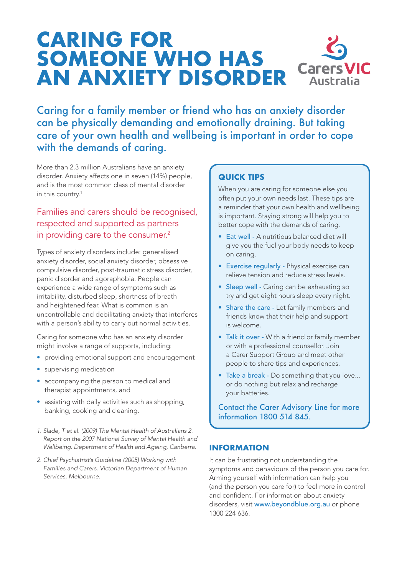# **CARING FOR SOMEONE WHO HAS AN ANXIETY DISORDER**



Caring for a family member or friend who has an anxiety disorder can be physically demanding and emotionally draining. But taking care of your own health and wellbeing is important in order to cope with the demands of caring.

More than 2.3 million Australians have an anxiety disorder. Anxiety affects one in seven (14%) people, and is the most common class of mental disorder in this country.1

## Families and carers should be recognised, respected and supported as partners in providing care to the consumer.<sup>2</sup>

Types of anxiety disorders include: generalised anxiety disorder, social anxiety disorder, obsessive compulsive disorder, post-traumatic stress disorder, panic disorder and agoraphobia. People can experience a wide range of symptoms such as irritability, disturbed sleep, shortness of breath and heightened fear. What is common is an uncontrollable and debilitating anxiety that interferes with a person's ability to carry out normal activities.

Caring for someone who has an anxiety disorder might involve a range of supports, including:

- providing emotional support and encouragement
- supervising medication
- accompanying the person to medical and therapist appointments, and
- assisting with daily activities such as shopping, banking, cooking and cleaning.
- *1. Slade, T et al. (2009) The Mental Health of Australians 2. Report on the 2007 National Survey of Mental Health and Wellbeing. Department of Health and Ageing, Canberra.*
- *2. Chief Psychiatrist's Guideline (2005) Working with Families and Carers. Victorian Department of Human Services, Melbourne.*

### **QUICK TIPS**

When you are caring for someone else you often put your own needs last. These tips are a reminder that your own health and wellbeing is important. Staying strong will help you to better cope with the demands of caring.

- Eat well A nutritious balanced diet will give you the fuel your body needs to keep on caring.
- Exercise regularly Physical exercise can relieve tension and reduce stress levels.
- Sleep well Caring can be exhausting so try and get eight hours sleep every night.
- Share the care Let family members and friends know that their help and support is welcome.
- Talk it over With a friend or family member or with a professional counsellor. Join a Carer Support Group and meet other people to share tips and experiences.
- Take a break Do something that you love... or do nothing but relax and recharge your batteries.

Contact the Carer Advisory Line for more information 1800 514 845.

#### **INFORMATION**

It can be frustrating not understanding the symptoms and behaviours of the person you care for. Arming yourself with information can help you (and the person you care for) to feel more in control and confident. For information about anxiety disorders, visit www.beyondblue.org.au or phone 1300 224 636.